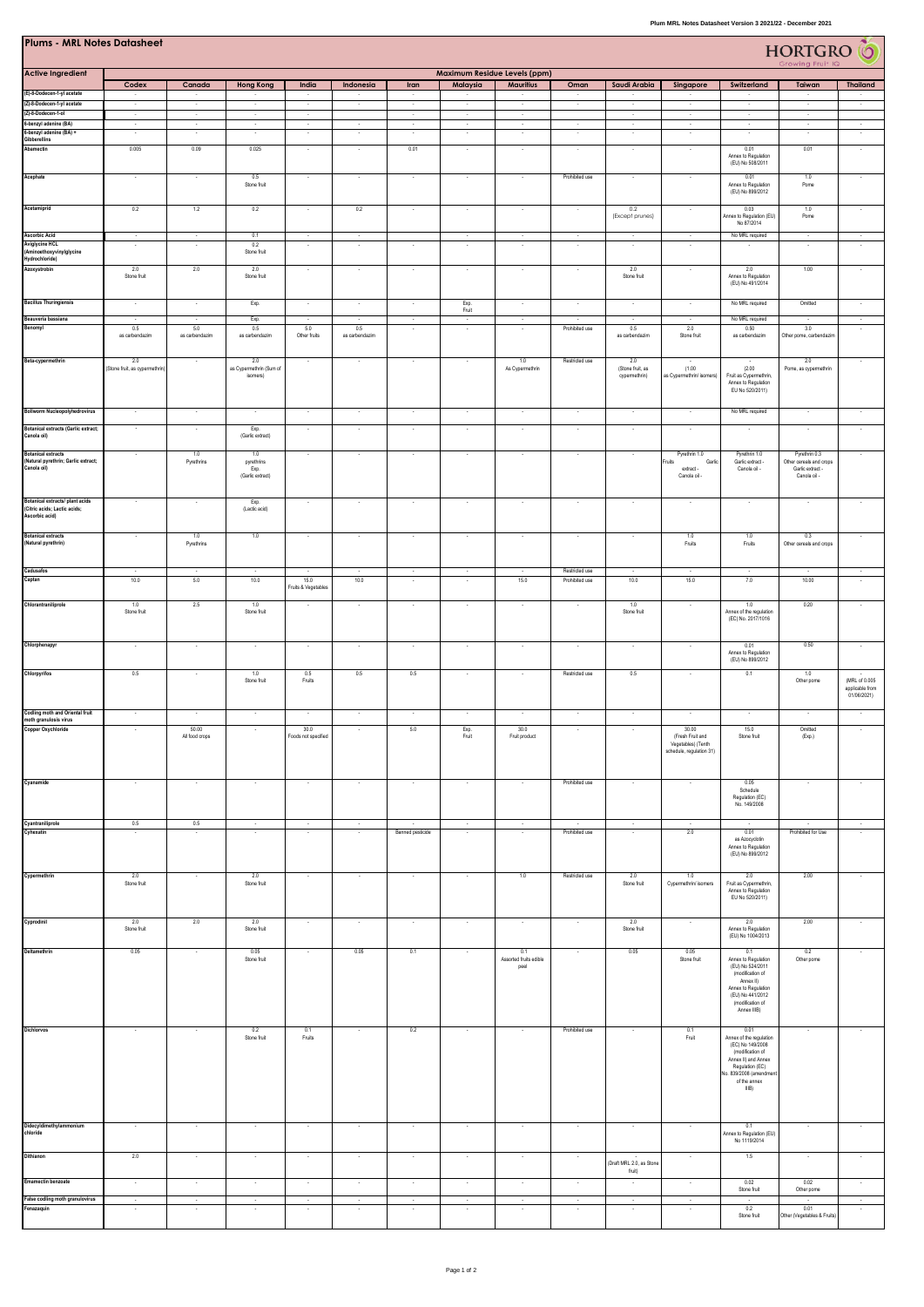| <b>Plums - MRL Notes Datasheet</b><br>HORTGRO <sup>6</sup>                        |                                                  |                          |                                               |                                     |                          |                                    |                                    |                                       |                                  |                                          |                                                                             |                                                                                                                                                                     |                                                                              |                                                 |
|-----------------------------------------------------------------------------------|--------------------------------------------------|--------------------------|-----------------------------------------------|-------------------------------------|--------------------------|------------------------------------|------------------------------------|---------------------------------------|----------------------------------|------------------------------------------|-----------------------------------------------------------------------------|---------------------------------------------------------------------------------------------------------------------------------------------------------------------|------------------------------------------------------------------------------|-------------------------------------------------|
| <b>Active Ingredient</b>                                                          | Growing Fruit IQ<br>Maximum Residue Levels (ppm) |                          |                                               |                                     |                          |                                    |                                    |                                       |                                  |                                          |                                                                             |                                                                                                                                                                     |                                                                              |                                                 |
|                                                                                   | Codex                                            | Canada                   | <b>Hong Kong</b>                              | India                               | Indonesia                | Iran                               | Malaysia                           | <b>Mauritius</b>                      | Oman                             | Saudi Arabia                             | Singapore                                                                   | Switzerland                                                                                                                                                         | Taiwan                                                                       | <b>Thailand</b>                                 |
| (E)-8-Dodecen-1-yl acetate<br>(Z)-8-Dodecen-1-yl acetate                          | $\cdot$<br>$\cdot$                               | $\sim$                   |                                               | $\cdot$                             | $\overline{\phantom{a}}$ | $\sim$                             | $\overline{\phantom{a}}$           | $\overline{\phantom{a}}$              |                                  |                                          |                                                                             | $\overline{\phantom{a}}$                                                                                                                                            | $\sim$                                                                       | $\overline{\phantom{a}}$                        |
| (Z)-8-Dodecen-1-ol<br>6-benzyl adenine (BA)                                       | $\overline{\phantom{a}}$<br>$\sim$               | $\sim$<br>$\sim$         | $\overline{\phantom{a}}$<br>$\sim$            | $\cdot$<br>$\sim$                   | $\sim$                   | $\sim$<br>$\sim$                   | $\sim$<br>$\sim$                   | $\sim$<br>$\sim$                      | $\sim$                           | $\sim$<br>$\sim$                         | $\sim$<br>$\sim$                                                            | $\sim$<br>$\sim$                                                                                                                                                    | $\sim$<br>$\sim$                                                             | $\sim$                                          |
| 6-benzyl adenine (BA) +<br>Gibberellins                                           |                                                  |                          |                                               |                                     |                          |                                    | ٠                                  |                                       |                                  | $\overline{\phantom{a}}$                 |                                                                             |                                                                                                                                                                     |                                                                              |                                                 |
| Abamectin                                                                         | 0.005                                            | 0.09                     | 0.025                                         | $\overline{\phantom{a}}$            | $\overline{\phantom{a}}$ | 0.01                               | $\cdot$                            | $\cdot$                               | $\sim$                           | $\sim$                                   | $\sim$                                                                      | 0.01<br>Annex to Regulation<br>(EU) No 508/2011                                                                                                                     | 0.01                                                                         | $\sim$                                          |
| Acephate                                                                          | $\overline{\phantom{a}}$                         | $\sim$                   | 0.5<br>Stone fruit                            | $\cdot$                             | $\sim$                   | $\sim$                             | $\sim$                             | $\sim$                                | Prohibited use                   | $\sim$                                   | $\sim$                                                                      | 0.01<br>Annex to Regulation<br>(EU) No 899/2012                                                                                                                     | 1.0<br>Pome                                                                  | $\sim$                                          |
| Acetamiprid                                                                       | 0.2                                              | 1.2                      | 0.2                                           | $\cdot$                             | 0.2                      | $\cdot$                            | $\cdot$                            | $\sim$                                | $\sim$                           | 0.2<br>(Except prunes)                   | $\cdot$                                                                     | 0.03<br>Annex to Regulation (EU)<br>No 87/2014                                                                                                                      | 1.0<br>Pome                                                                  | $\sim$                                          |
| <b>Ascorbic Acid</b><br><b>Aviglycine HCL</b>                                     | $\sim$<br>$\overline{\phantom{a}}$               | $\sim$<br>×              | 0.1<br>0.2                                    | $\sim$<br>$\overline{\phantom{a}}$  | $\sim$<br>$\sim$         | $\overline{\phantom{a}}$           | $\overline{\phantom{a}}$<br>$\sim$ | $\sim$<br>$\sim$                      | $\sim$                           | $\overline{\phantom{a}}$                 |                                                                             | No MRL required<br>$\sim$                                                                                                                                           | $\sim$<br>$\sim$                                                             | $\sim$<br>$\sim$                                |
| (Aminoethoxyvinylglycine<br>Hydrochloride)                                        |                                                  |                          | Stone fruit                                   |                                     |                          |                                    |                                    |                                       |                                  |                                          |                                                                             |                                                                                                                                                                     |                                                                              |                                                 |
| Azoxystrobin                                                                      | 2.0<br>Stone fruit                               | 2.0                      | 2.0<br>Stone fruit                            | ŀ,                                  |                          |                                    | ×                                  | ×                                     |                                  | 2.0<br>Stone fruit                       |                                                                             | 2.0<br>Annex to Regulation<br>(EU) No 491/2014                                                                                                                      | 1.00                                                                         |                                                 |
| <b>Bacillus Thuringiensis</b>                                                     | $\sim$                                           | $\sim$                   | Exp.                                          | $\sim$                              | $\sim$                   | $\sim$                             | Exp.<br>Fruit                      | $\sim$                                | $\sim$                           | $\sim$                                   | $\sim$                                                                      | No MRL required                                                                                                                                                     | Omitted                                                                      | $\sim$                                          |
| Beauveria bassiana<br>Benomyl                                                     | $\sim$<br>0.5                                    | $\sim$<br>5.0            | Exp.<br>0.5                                   | $\sim$<br>5.0                       | $\sim$<br>0.5            | $\sim$<br>$\overline{\phantom{a}}$ | $\sim$<br>$\cdot$                  | $\sim$<br>$\overline{\phantom{a}}$    | $\sim$<br>Prohibited use         | $\sim$<br>0.5                            | $\sim$<br>2.0                                                               | No MRL required<br>0.50                                                                                                                                             | $\sim$<br>3.0                                                                | $\sim$<br>$\cdot$                               |
|                                                                                   | as carbendazim                                   | as carbendazim           | as carbendazim                                | Other fruits                        | as carbendazim           |                                    |                                    |                                       |                                  | as carbendazim                           | Stone fruit                                                                 | as carbendazim                                                                                                                                                      | Other pome, carbendazim                                                      |                                                 |
| Beta-cypermethrin                                                                 | 2.0<br>(Stone fruit, as cypermethrin             | $\overline{\phantom{a}}$ | 2.0<br>as Cypermethrin (Sum of<br>isomers)    | $\overline{\phantom{a}}$            |                          | $\overline{\phantom{a}}$           | $\cdot$                            | 1.0<br>As Cypermethrin                | Restricted use                   | 2.0<br>(Stone fruit, as<br>cypermethrin) | (1.00)<br>as Cypermethrin/ isomer                                           | (2.00)<br>Fruit as Cypermethrin,<br>Annex to Regulation<br>EU No 520/2011)                                                                                          | 2.0<br>Pome, as cypermethrin                                                 | $\cdot$                                         |
| <b>Bollworm Nucleopolyhedrovirus</b>                                              | $\cdot$                                          | $\overline{\phantom{a}}$ | $\cdot$                                       | $\cdot$                             | $\cdot$                  | $\cdot$                            | $\cdot$                            | $\sim$                                | $\cdot$                          | $\cdot$                                  |                                                                             | No MRL required                                                                                                                                                     | $\cdot$                                                                      | $\cdot$                                         |
| <b>Botanical extracts (Garlic extract;</b><br>Canola oil)                         |                                                  | $\sim$                   | Exp.<br>(Garlic extract)                      | $\cdot$                             |                          | $\sim$                             | $\overline{\phantom{a}}$           | $\sim$                                |                                  | $\sim$                                   | $\overline{\phantom{a}}$                                                    | $\cdot$                                                                                                                                                             | $\sim$                                                                       | $\overline{\phantom{a}}$                        |
| <b>Botanical extracts</b><br>(Natural pyrethrin; Garlic extract;<br>Canola oil)   |                                                  | 1.0<br>Pyrethrins        | 1.0<br>pyrethrins<br>Exp.<br>(Garlic extract) | $\overline{\phantom{a}}$            |                          | $\overline{\phantom{a}}$           | $\sim$                             | $\sim$                                |                                  |                                          | Pyrethrin 1.0<br>Fruits<br>Garlic<br>extract -<br>Canola oil -              | Pyrethrin 1.0<br>Garlic extract<br>Canola oil -                                                                                                                     | Pyrethrin 0.3<br>Other cereals and crops<br>Garlic extract -<br>Canola oil - | $\overline{\phantom{a}}$                        |
| Botanical extracts/ plant acids<br>(Citric acids; Lactic acids;<br>Ascorbic acid) |                                                  |                          | Exp.<br>(Lactic acid)                         | $\overline{\phantom{a}}$            |                          | ۰.                                 | $\sim$                             | $\sim$                                |                                  |                                          |                                                                             | $\sim$                                                                                                                                                              |                                                                              |                                                 |
| <b>Botanical extracts</b><br>(Natural pyrethrin)                                  |                                                  | 1.0<br>Pyrethrins        | $1.0\,$                                       | $\sim$                              |                          | ۰.                                 | $\sim$                             | $\sim$                                | $\sim$                           |                                          | 1.0<br>Fruits                                                               | 1.0<br>Fruits                                                                                                                                                       | 0.3<br>Other cereals and crops                                               |                                                 |
| Cadusafos<br>Captan                                                               | $\sim$<br>10.0                                   | $\sim$<br>5.0            | $\sim$<br>10.0                                | $\sim$<br>15.0                      | $\sim$<br>10.0           | $\sim$<br>$\sim$                   | $\sim$<br>$\cdot$                  | $\sim$<br>15.0                        | Restricted use<br>Prohibited use | $\sim$<br>10.0                           | $\sim$<br>15.0                                                              | $\sim$<br>7.0                                                                                                                                                       | $\sim$<br>10.00                                                              | $\sim$<br>$\cdot$                               |
|                                                                                   |                                                  |                          |                                               | Fruits & Vegetables                 |                          |                                    |                                    |                                       |                                  |                                          |                                                                             |                                                                                                                                                                     |                                                                              |                                                 |
| Chlorantraniliprole                                                               | 1.0<br>Stone fruit                               | 2.5                      | 1.0<br>Stone fruit                            | ÷,                                  |                          |                                    | ×                                  | $\cdot$                               |                                  | 1.0<br>Stone fruit                       |                                                                             | 1.0<br>Annex of the regulation<br>(EC) No. 2017/1016                                                                                                                | 0.20                                                                         |                                                 |
| Chlorphenapyr                                                                     | $\sim$                                           | $\sim$                   | $\sim$                                        | $\sim$                              | $\sim$                   | $\sim$                             | $\sim$                             | $\sim$                                | $\sim$                           | $\sim$                                   | $\sim$                                                                      | 0.01<br>Annex to Regulation<br>(EU) No 899/2012                                                                                                                     | 0.50                                                                         | $\sim$                                          |
| Chlorpyrifos                                                                      | 0.5                                              | $\sim$                   | 1.0<br>Stone fruit                            | 0.5<br>Fruits                       | 0.5                      | 0.5                                | $\overline{\phantom{a}}$           | $\sim$                                | Restricted use                   | 0.5                                      |                                                                             | 0.1                                                                                                                                                                 | 1.0<br>Other pome                                                            | (MRL of 0.005<br>applicable from<br>01/06/2021) |
| Codling moth and Oriental fruit                                                   |                                                  |                          |                                               | $\overline{\phantom{a}}$            |                          |                                    | ×                                  | $\overline{\phantom{a}}$              |                                  |                                          |                                                                             |                                                                                                                                                                     | - 1                                                                          |                                                 |
| moth granulosis virus<br>Copper Oxychloride                                       |                                                  | 50.00<br>All food crops  |                                               | 30.0<br>Foods not specified         |                          | 5.0                                | Exp.<br>Fruit                      | 30.0<br>Fruit product                 |                                  |                                          | 30.00<br>(Fresh Fruit and<br>Vegetables) (Tenth<br>schedule, regulation 31) | 15.0<br>Stone fruit                                                                                                                                                 | Omitted<br>(Exp.)                                                            |                                                 |
| Cyanamide                                                                         | $\sim$                                           | ×                        |                                               | $\overline{\phantom{a}}$            |                          | $\sim$                             | $\sim$                             | ÷.                                    | Prohibited use                   |                                          |                                                                             | 0.05<br>Schedule<br>Regulation (EC)<br>No. 149/2008                                                                                                                 | $\sim$                                                                       |                                                 |
| Cyantraniliprole<br>Cyhexatin                                                     | 0.5<br>$\overline{\phantom{a}}$                  | 0.5                      |                                               | $\cdot$<br>$\overline{\phantom{a}}$ |                          | Banned pesticide                   | $\cdot$<br>۰.                      |                                       | Prohibited use                   |                                          | 2.0                                                                         | 0.01<br>as Azocyclotin<br>Annex to Regulation<br>(EU) No 899/2012                                                                                                   | Prohibited for Use                                                           | $\cdot$<br>$\sim$                               |
| Cypermethrin                                                                      | 2.0<br>Stone fruit                               |                          | 2.0<br>Stone fruit                            |                                     |                          |                                    |                                    | 1.0                                   | Restricted use                   | 2.0<br>Stone fruit                       | 1.0<br>Cypermethrin/isomers                                                 | 2.0<br>Fruit as Cypermethrin,<br>Annex to Regulation<br>EU No 520/2011)                                                                                             | 2.00                                                                         |                                                 |
| Cyprodinil                                                                        | 2.0<br>Stone fruit                               | 2.0                      | 2.0<br>Stone fruit                            | $\cdot$                             | $\sim$                   | $\cdot$                            | $\cdot$                            | $\cdot$                               |                                  | 2.0<br>Stone fruit                       |                                                                             | 2.0<br>Annex to Regulation<br>(EU) No 1004/2013                                                                                                                     | 2.00                                                                         |                                                 |
| Deltamethrin                                                                      | 0.05                                             |                          | 0.05<br>Stone fruit                           | $\overline{\phantom{a}}$            | 0.05                     | 0.1                                |                                    | 0.1<br>Assorted fruits edible<br>peel |                                  | 0.05                                     | 0.05<br>Stone fruit                                                         | 0.1<br>Annex to Regulation<br>(EU) No 524/2011<br>(modification of<br>Annex II)<br>Annex to Regulation<br>(EU) No 441/2012<br>(modification of<br>Annex IIIB)       | 0.2<br>Other pome                                                            | $\cdot$                                         |
| Dichlorvos                                                                        |                                                  |                          | 0.2<br>Stone fruit                            | 0.1<br>Fruits                       |                          | 0.2                                |                                    |                                       | Prohibited use                   |                                          | 0.1<br>Fruit                                                                | 0.01<br>Annex of the regulation<br>(EC) No 149/2008<br>(modification of<br>Annex II) and Annex<br>Regulation (EC)<br>Vo. 839/2008 (amendme<br>of the annex<br>IIIB) |                                                                              |                                                 |
| Didecyldimethylammonium<br>chloride                                               | $\epsilon$                                       | ÷                        | $\epsilon$                                    | $\cdot$                             | $\sim$                   | $\sim$                             | $\cdot$                            | $\cdot$                               |                                  |                                          |                                                                             | 0.1<br>Annex to Regulation (EU)                                                                                                                                     |                                                                              |                                                 |
| Dithianon                                                                         | $2.0\,$                                          |                          |                                               |                                     |                          |                                    |                                    |                                       |                                  | (Draft MRL 2.0, as Stone                 |                                                                             | No 1119/2014<br>$1.5\,$                                                                                                                                             |                                                                              |                                                 |
|                                                                                   |                                                  |                          |                                               |                                     |                          |                                    |                                    |                                       |                                  | fruit)                                   |                                                                             |                                                                                                                                                                     |                                                                              |                                                 |
| <b>Emamectin benzoate</b>                                                         | $\ddot{\phantom{a}}$                             | $\cdot$                  | $\cdot$                                       | $\cdot$                             | $\cdot$                  | $\cdot$                            | $\cdot$                            | $\cdot$                               | $\overline{\phantom{a}}$         |                                          |                                                                             | 0.02<br>Stone fruit                                                                                                                                                 | 0.02<br>Other pome                                                           |                                                 |
| False codling moth granulovirus<br>Fenazaquin                                     | $\sim$<br>$\cdot$                                | $\sim$<br>$\sim$         | $\sim$<br>$\cdot$                             | $\sim$<br>$\overline{\phantom{a}}$  | $\sim$<br>$\sim$         | $\sim$<br>$\sim$                   | $\sim$<br>$\cdot$                  | $\sim$<br>$\cdot$                     | $\sim$<br>$\cdot$                | $\sim$<br>$\sim$                         | $\sim$<br>$\sim$                                                            | $\sim$<br>0.2<br>Stone fruit                                                                                                                                        | $\sim$<br>0.01<br>Other (Vegetables & Fruits)                                | $\sim$<br>$\cdot$                               |